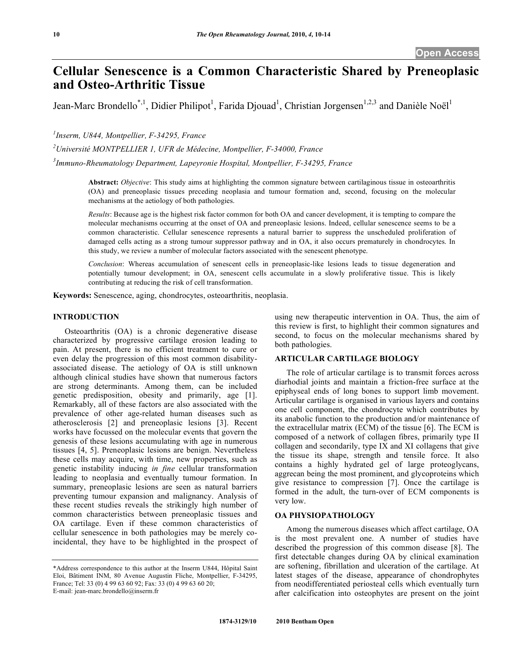# **Cellular Senescence is a Common Characteristic Shared by Preneoplasic and Osteo-Arthritic Tissue**

Jean-Marc Brondello<sup>\*,1</sup>, Didier Philipot<sup>1</sup>, Farida Djouad<sup>1</sup>, Christian Jorgensen<sup>1,2,3</sup> and Danièle Noël<sup>1</sup>

*1 Inserm, U844, Montpellier, F-34295, France* 

*2 Université MONTPELLIER 1, UFR de Médecine, Montpellier, F-34000, France* 

*3 Immuno-Rheumatology Department, Lapeyronie Hospital, Montpellier, F-34295, France* 

**Abstract:** *Objective*: This study aims at highlighting the common signature between cartilaginous tissue in osteoarthritis (OA) and preneoplasic tissues preceding neoplasia and tumour formation and, second, focusing on the molecular mechanisms at the aetiology of both pathologies.

*Results*: Because age is the highest risk factor common for both OA and cancer development, it is tempting to compare the molecular mechanisms occurring at the onset of OA and preneoplasic lesions. Indeed, cellular senescence seems to be a common characteristic. Cellular senescence represents a natural barrier to suppress the unscheduled proliferation of damaged cells acting as a strong tumour suppressor pathway and in OA, it also occurs prematurely in chondrocytes. In this study, we review a number of molecular factors associated with the senescent phenotype.

*Conclusion*: Whereas accumulation of senescent cells in preneoplasic-like lesions leads to tissue degeneration and potentially tumour development; in OA, senescent cells accumulate in a slowly proliferative tissue. This is likely contributing at reducing the risk of cell transformation.

**Keywords:** Senescence, aging, chondrocytes, osteoarthritis, neoplasia.

## **INTRODUCTION**

 Osteoarthritis (OA) is a chronic degenerative disease characterized by progressive cartilage erosion leading to pain. At present, there is no efficient treatment to cure or even delay the progression of this most common disabilityassociated disease. The aetiology of OA is still unknown although clinical studies have shown that numerous factors are strong determinants. Among them, can be included genetic predisposition, obesity and primarily, age [1]. Remarkably, all of these factors are also associated with the prevalence of other age-related human diseases such as atherosclerosis [2] and preneoplasic lesions [3]. Recent works have focussed on the molecular events that govern the genesis of these lesions accumulating with age in numerous tissues [4, 5]. Preneoplasic lesions are benign. Nevertheless these cells may acquire, with time, new properties, such as genetic instability inducing *in fine* cellular transformation leading to neoplasia and eventually tumour formation. In summary, preneoplasic lesions are seen as natural barriers preventing tumour expansion and malignancy. Analysis of these recent studies reveals the strikingly high number of common characteristics between preneoplasic tissues and OA cartilage. Even if these common characteristics of cellular senescence in both pathologies may be merely coincidental, they have to be highlighted in the prospect of using new therapeutic intervention in OA. Thus, the aim of this review is first, to highlight their common signatures and second, to focus on the molecular mechanisms shared by both pathologies.

### **ARTICULAR CARTILAGE BIOLOGY**

 The role of articular cartilage is to transmit forces across diarhodial joints and maintain a friction-free surface at the epiphyseal ends of long bones to support limb movement. Articular cartilage is organised in various layers and contains one cell component, the chondrocyte which contributes by its anabolic function to the production and/or maintenance of the extracellular matrix (ECM) of the tissue [6]. The ECM is composed of a network of collagen fibres, primarily type II collagen and secondarily, type IX and XI collagens that give the tissue its shape, strength and tensile force. It also contains a highly hydrated gel of large proteoglycans, aggrecan being the most prominent, and glycoproteins which give resistance to compression [7]. Once the cartilage is formed in the adult, the turn-over of ECM components is very low.

## **OA PHYSIOPATHOLOGY**

 Among the numerous diseases which affect cartilage, OA is the most prevalent one. A number of studies have described the progression of this common disease [8]. The first detectable changes during OA by clinical examination are softening, fibrillation and ulceration of the cartilage. At latest stages of the disease, appearance of chondrophytes from neodifferentiated periosteal cells which eventually turn after calcification into osteophytes are present on the joint

<sup>\*</sup>Address correspondence to this author at the Inserm U844, Hôpital Saint Eloi, Bâtiment INM, 80 Avenue Augustin Fliche, Montpellier, F-34295, France; Tel: 33 (0) 4 99 63 60 92; Fax: 33 (0) 4 99 63 60 20; E-mail: jean-marc.brondello@inserm.fr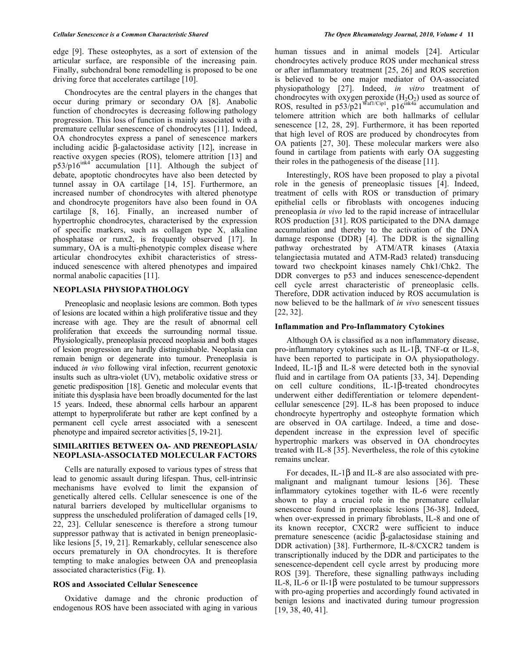edge [9]. These osteophytes, as a sort of extension of the articular surface, are responsible of the increasing pain. Finally, subchondral bone remodelling is proposed to be one driving force that accelerates cartilage [10].

Chondrocytes are the central players in the changes that occur during primary or secondary OA [8]. Anabolic function of chondrocytes is decreasing following pathology progression. This loss of function is mainly associated with a premature cellular senescence of chondrocytes [11]. Indeed, OA chondrocytes express a panel of senescence markers including acidic  $\beta$ -galactosidase activity [12], increase in reactive oxygen species (ROS), telomere attrition [13] and  $p53/p16^{ink4}$  accumulation [11]. Although the subject of debate, apoptotic chondrocytes have also been detected by tunnel assay in OA cartilage [14, 15]. Furthermore, an increased number of chondrocytes with altered phenotype and chondrocyte progenitors have also been found in OA cartilage [8, 16]. Finally, an increased number of hypertrophic chondrocytes, characterised by the expression of specific markers, such as collagen type X, alkaline phosphatase or runx2, is frequently observed [17]. In summary, OA is a multi-phenotypic complex disease where articular chondrocytes exhibit characteristics of stressinduced senescence with altered phenotypes and impaired normal anabolic capacities [11].

## **NEOPLASIA PHYSIOPATHOLOGY**

 Preneoplasic and neoplasic lesions are common. Both types of lesions are located within a high proliferative tissue and they increase with age. They are the result of abnormal cell proliferation that exceeds the surrounding normal tissue. Physiologically, preneoplasia preceed neoplasia and both stages of lesion progression are hardly distinguishable. Neoplasia can remain benign or degenerate into tumour. Preneoplasia is induced *in vivo* following viral infection, recurrent genotoxic insults such as ultra-violet (UV), metabolic oxidative stress or genetic predisposition [18]. Genetic and molecular events that initiate this dysplasia have been broadly documented for the last 15 years. Indeed, these abnormal cells harbour an apparent attempt to hyperproliferate but rather are kept confined by a permanent cell cycle arrest associated with a senescent phenotype and impaired secretor activities [5, 19-21].

## **SIMILARITIES BETWEEN OA- AND PRENEOPLASIA/ NEOPLASIA-ASSOCIATED MOLECULAR FACTORS**

 Cells are naturally exposed to various types of stress that lead to genomic assault during lifespan. Thus, cell-intrinsic mechanisms have evolved to limit the expansion of genetically altered cells. Cellular senescence is one of the natural barriers developed by multicellular organisms to suppress the unscheduled proliferation of damaged cells [19, 22, 23]. Cellular senescence is therefore a strong tumour suppressor pathway that is activated in benign preneoplasiclike lesions [5, 19, 21]. Remarkably, cellular senescence also occurs prematurely in OA chondrocytes. It is therefore tempting to make analogies between OA and preneoplasia associated characteristics (Fig. **1**).

## **ROS and Associated Cellular Senescence**

 Oxidative damage and the chronic production of endogenous ROS have been associated with aging in various

human tissues and in animal models [24]. Articular chondrocytes actively produce ROS under mechanical stress or after inflammatory treatment [25, 26] and ROS secretion is believed to be one major mediator of OA-associated physiopathology [27]. Indeed, *in vitro* treatment of chondrocytes with oxygen peroxide  $(H<sub>2</sub>O<sub>2</sub>)$  used as source of ROS, resulted in  $p53/p21^{Waf1/Cip1}$ ,  $p16^{ink4a}$  accumulation and telomere attrition which are both hallmarks of cellular senescence [12, 28, 29]. Furthermore, it has been reported that high level of ROS are produced by chondrocytes from OA patients [27, 30]. These molecular markers were also found in cartilage from patients with early OA suggesting their roles in the pathogenesis of the disease [11].

 Interestingly, ROS have been proposed to play a pivotal role in the genesis of preneoplasic tissues [4]. Indeed, treatment of cells with ROS or transduction of primary epithelial cells or fibroblasts with oncogenes inducing preneoplasia *in vivo* led to the rapid increase of intracellular ROS production [31]. ROS participated to the DNA damage accumulation and thereby to the activation of the DNA damage response (DDR) [4]. The DDR is the signalling pathway orchestrated by ATM/ATR kinases (Ataxia telangiectasia mutated and ATM-Rad3 related) transducing toward two checkpoint kinases namely Chk1/Chk2. The DDR converges to p53 and induces senescence-dependent cell cycle arrest characteristic of preneoplasic cells. Therefore, DDR activation induced by ROS accumulation is now believed to be the hallmark of *in vivo* senescent tissues [22, 32].

#### **Inflammation and Pro-Inflammatory Cytokines**

 Although OA is classified as a non inflammatory disease, pro-inflammatory cytokines such as IL-1 $\beta$ , TNF- $\alpha$  or IL-8, have been reported to participate in OA physiopathology. Indeed, IL-1 $\beta$  and IL-8 were detected both in the synovial fluid and in cartilage from OA patients [33, 34]. Depending on cell culture conditions,  $IL-1\beta$ -treated chondrocytes underwent either dedifferentiation or telomere dependentcellular senescence [29]. IL-8 has been proposed to induce chondrocyte hypertrophy and osteophyte formation which are observed in OA cartilage. Indeed, a time and dosedependent increase in the expression level of specific hypertrophic markers was observed in OA chondrocytes treated with IL-8 [35]. Nevertheless, the role of this cytokine remains unclear.

For decades, IL-1 $\beta$  and IL-8 are also associated with premalignant and malignant tumour lesions [36]. These inflammatory cytokines together with IL-6 were recently shown to play a crucial role in the premature cellular senescence found in preneoplasic lesions [36-38]. Indeed, when over-expressed in primary fibroblasts, IL-8 and one of its known receptor, CXCR2 were sufficient to induce premature senescence (acidic  $\beta$ -galactosidase staining and DDR activation) [38]. Furthermore, IL-8/CXCR2 tandem is transcriptionally induced by the DDR and participates to the senescence-dependent cell cycle arrest by producing more ROS [39]. Therefore, these signalling pathways including IL-8, IL-6 or Il-1 $\beta$  were postulated to be tumour suppressors with pro-aging properties and accordingly found activated in benign lesions and inactivated during tumour progression [19, 38, 40, 41].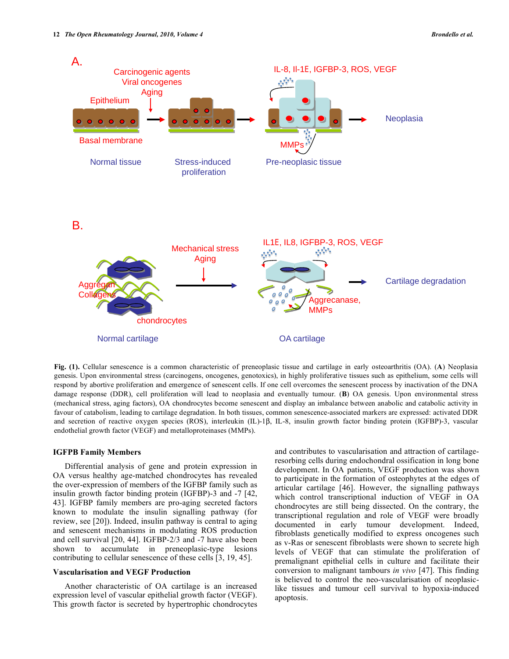

**Fig. (1).** Cellular senescence is a common characteristic of preneoplasic tissue and cartilage in early osteoarthritis (OA). (**A**) Neoplasia genesis. Upon environmental stress (carcinogens, oncogenes, genotoxics), in highly proliferative tissues such as epithelium, some cells will respond by abortive proliferation and emergence of senescent cells. If one cell overcomes the senescent process by inactivation of the DNA damage response (DDR), cell proliferation will lead to neoplasia and eventually tumour. (**B**) OA genesis. Upon environmental stress (mechanical stress, aging factors), OA chondrocytes become senescent and display an imbalance between anabolic and catabolic activity in favour of catabolism, leading to cartilage degradation. In both tissues, common senescence-associated markers are expressed: activated DDR and secretion of reactive oxygen species (ROS), interleukin (IL)-1 $\beta$ , IL-8, insulin growth factor binding protein (IGFBP)-3, vascular endothelial growth factor (VEGF) and metalloproteinases (MMPs).

#### **IGFPB Family Members**

 Differential analysis of gene and protein expression in OA versus healthy age-matched chondrocytes has revealed the over-expression of members of the IGFBP family such as insulin growth factor binding protein (IGFBP)-3 and -7 [42, 43]. IGFBP family members are pro-aging secreted factors known to modulate the insulin signalling pathway (for review, see [20]). Indeed, insulin pathway is central to aging and senescent mechanisms in modulating ROS production and cell survival [20, 44]. IGFBP-2/3 and -7 have also been shown to accumulate in preneoplasic-type lesions contributing to cellular senescence of these cells [3, 19, 45].

## **Vascularisation and VEGF Production**

 Another characteristic of OA cartilage is an increased expression level of vascular epithelial growth factor (VEGF). This growth factor is secreted by hypertrophic chondrocytes and contributes to vascularisation and attraction of cartilageresorbing cells during endochondral ossification in long bone development. In OA patients, VEGF production was shown to participate in the formation of osteophytes at the edges of articular cartilage [46]. However, the signalling pathways which control transcriptional induction of VEGF in OA chondrocytes are still being dissected. On the contrary, the transcriptional regulation and role of VEGF were broadly documented in early tumour development. Indeed, fibroblasts genetically modified to express oncogenes such as v-Ras or senescent fibroblasts were shown to secrete high levels of VEGF that can stimulate the proliferation of premalignant epithelial cells in culture and facilitate their conversion to malignant tambours *in vivo* [47]. This finding is believed to control the neo-vascularisation of neoplasiclike tissues and tumour cell survival to hypoxia-induced apoptosis.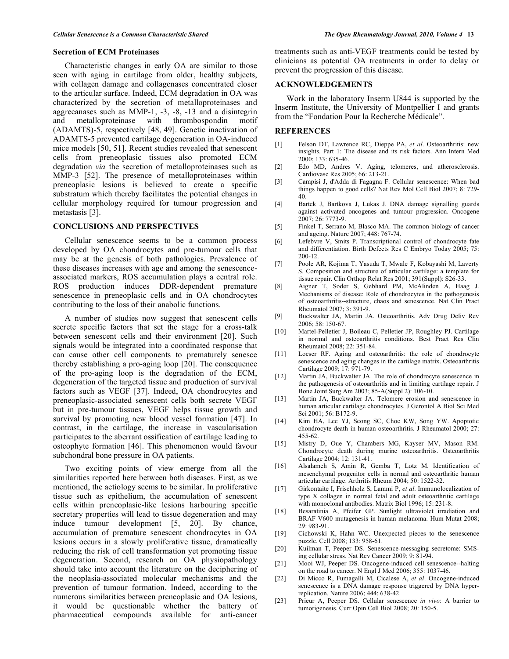## **Secretion of ECM Proteinases**

 Characteristic changes in early OA are similar to those seen with aging in cartilage from older, healthy subjects, with collagen damage and collagenases concentrated closer to the articular surface. Indeed, ECM degradation in OA was characterized by the secretion of metalloproteinases and aggrecanases such as MMP-1, -3, -8, -13 and a disintegrin and metalloproteinase with thrombospondin motif (ADAMTS)-5, respectively [48, 49]. Genetic inactivation of ADAMTS-5 prevented cartilage degeneration in OA-induced mice models [50, 51]. Recent studies revealed that senescent cells from preneoplasic tissues also promoted ECM degradation *via* the secretion of metalloproteinases such as MMP-3 [52]. The presence of metalloproteinases within preneoplasic lesions is believed to create a specific substratum which thereby facilitates the potential changes in cellular morphology required for tumour progression and metastasis [3].

## **CONCLUSIONS AND PERSPECTIVES**

 Cellular senescence seems to be a common process developed by OA chondrocytes and pre-tumour cells that may be at the genesis of both pathologies. Prevalence of these diseases increases with age and among the senescenceassociated markers, ROS accumulation plays a central role. ROS production induces DDR-dependent premature senescence in preneoplasic cells and in OA chondrocytes contributing to the loss of their anabolic functions.

 A number of studies now suggest that senescent cells secrete specific factors that set the stage for a cross-talk between senescent cells and their environment [20]. Such signals would be integrated into a coordinated response that can cause other cell components to prematurely senesce thereby establishing a pro-aging loop [20]. The consequence of the pro-aging loop is the degradation of the ECM, degeneration of the targeted tissue and production of survival factors such as VEGF [37]. Indeed, OA chondrocytes and preneoplasic-associated senescent cells both secrete VEGF but in pre-tumour tissues, VEGF helps tissue growth and survival by promoting new blood vessel formation [47]. In contrast, in the cartilage, the increase in vascularisation participates to the aberrant ossification of cartilage leading to osteophyte formation [46]. This phenomenon would favour subchondral bone pressure in OA patients.

 Two exciting points of view emerge from all the similarities reported here between both diseases. First, as we mentioned, the aetiology seems to be similar. In proliferative tissue such as epithelium, the accumulation of senescent cells within preneoplasic-like lesions harbouring specific secretary properties will lead to tissue degeneration and may induce tumour development [5, 20]. By chance, accumulation of premature senescent chondrocytes in OA lesions occurs in a slowly proliferative tissue, dramatically reducing the risk of cell transformation yet promoting tissue degeneration. Second, research on OA physiopathology should take into account the literature on the deciphering of the neoplasia-associated molecular mechanisms and the prevention of tumour formation. Indeed, according to the numerous similarities between preneoplasic and OA lesions, it would be questionable whether the battery of pharmaceutical compounds available for anti-cancer

treatments such as anti-VEGF treatments could be tested by clinicians as potential OA treatments in order to delay or prevent the progression of this disease.

#### **ACKNOWLEDGEMENTS**

 Work in the laboratory Inserm U844 is supported by the Inserm Institute, the University of Montpellier I and grants from the "Fondation Pour la Recherche Médicale".

## **REFERENCES**

- [1] Felson DT, Lawrence RC, Dieppe PA, *et al*. Osteoarthritis: new insights. Part 1: The disease and its risk factors. Ann Intern Med 2000; 133: 635-46.
- [2] Edo MD, Andres V. Aging, telomeres, and atherosclerosis. Cardiovasc Res 2005; 66: 213-21.
- [3] Campisi J, d'Adda di Fagagna F. Cellular senescence: When bad things happen to good cells? Nat Rev Mol Cell Biol 2007; 8: 729- 40.
- [4] Bartek J, Bartkova J, Lukas J. DNA damage signalling guards against activated oncogenes and tumour progression. Oncogene 2007; 26: 7773-9.
- [5] Finkel T, Serrano M, Blasco MA. The common biology of cancer and ageing. Nature 2007; 448: 767-74.
- [6] Lefebvre V, Smits P. Transcriptional control of chondrocyte fate and differentiation. Birth Defects Res C Embryo Today 2005; 75: 200-12.
- [7] Poole AR, Kojima T, Yasuda T, Mwale F, Kobayashi M, Laverty S. Composition and structure of articular cartilage: a template for tissue repair. Clin Orthop Relat Res 2001; 391(Suppl): S26-33.
- [8] Aigner T, Soder S, Gebhard PM, McAlinden A, Haag J. Mechanisms of disease: Role of chondrocytes in the pathogenesis of osteoarthritis--structure, chaos and senescence. Nat Clin Pract Rheumatol 2007; 3: 391-9.
- [9] Buckwalter JA, Martin JA. Osteoarthritis. Adv Drug Deliv Rev 2006; 58: 150-67.
- [10] Martel-Pelletier J, Boileau C, Pelletier JP, Roughley PJ. Cartilage in normal and osteoarthritis conditions. Best Pract Res Clin Rheumatol 2008; 22: 351-84.
- [11] Loeser RF. Aging and osteoarthritis: the role of chondrocyte senescence and aging changes in the cartilage matrix. Osteoarthritis Cartilage 2009; 17: 971-79.
- [12] Martin JA, Buckwalter JA. The role of chondrocyte senescence in the pathogenesis of osteoarthritis and in limiting cartilage repair. J Bone Joint Surg Am 2003; 85-A(Suppl 2): 106-10.
- [13] Martin JA, Buckwalter JA. Telomere erosion and senescence in human articular cartilage chondrocytes. J Gerontol A Biol Sci Med Sci 2001; 56: B172-9.
- [14] Kim HA, Lee YJ, Seong SC, Choe KW, Song YW. Apoptotic chondrocyte death in human osteoarthritis. J Rheumatol 2000; 27: 455-62.
- [15] Mistry D, Oue Y, Chambers MG, Kayser MV, Mason RM. Chondrocyte death during murine osteoarthritis. Osteoarthritis Cartilage 2004; 12: 131-41.
- [16] Alsalameh S, Amin R, Gemba T, Lotz M. Identification of mesenchymal progenitor cells in normal and osteoarthritic human articular cartilage. Arthritis Rheum 2004; 50: 1522-32.
- [17] Girkontaite I, Frischholz S, Lammi P, *et al*. Immunolocalization of type X collagen in normal fetal and adult osteoarthritic cartilage with monoclonal antibodies. Matrix Biol 1996; 15: 231-8.
- [18] Besaratinia A, Pfeifer GP. Sunlight ultraviolet irradiation and BRAF V600 mutagenesis in human melanoma. Hum Mutat 2008; 29: 983-91.
- [19] Cichowski K, Hahn WC. Unexpected pieces to the senescence puzzle. Cell 2008; 133: 958-61.
- [20] Kuilman T, Peeper DS. Senescence-messaging secretome: SMSing cellular stress. Nat Rev Cancer 2009; 9: 81-94.
- [21] Mooi WJ, Peeper DS. Oncogene-induced cell senescence--halting on the road to cancer. N Engl J Med 2006; 355: 1037-46.
- [22] Di Micco R, Fumagalli M, Cicalese A, *et al*. Oncogene-induced senescence is a DNA damage response triggered by DNA hyperreplication. Nature 2006; 444: 638-42.
- [23] Prieur A, Peeper DS. Cellular senescence *in vivo*: A barrier to tumorigenesis. Curr Opin Cell Biol 2008; 20: 150-5.